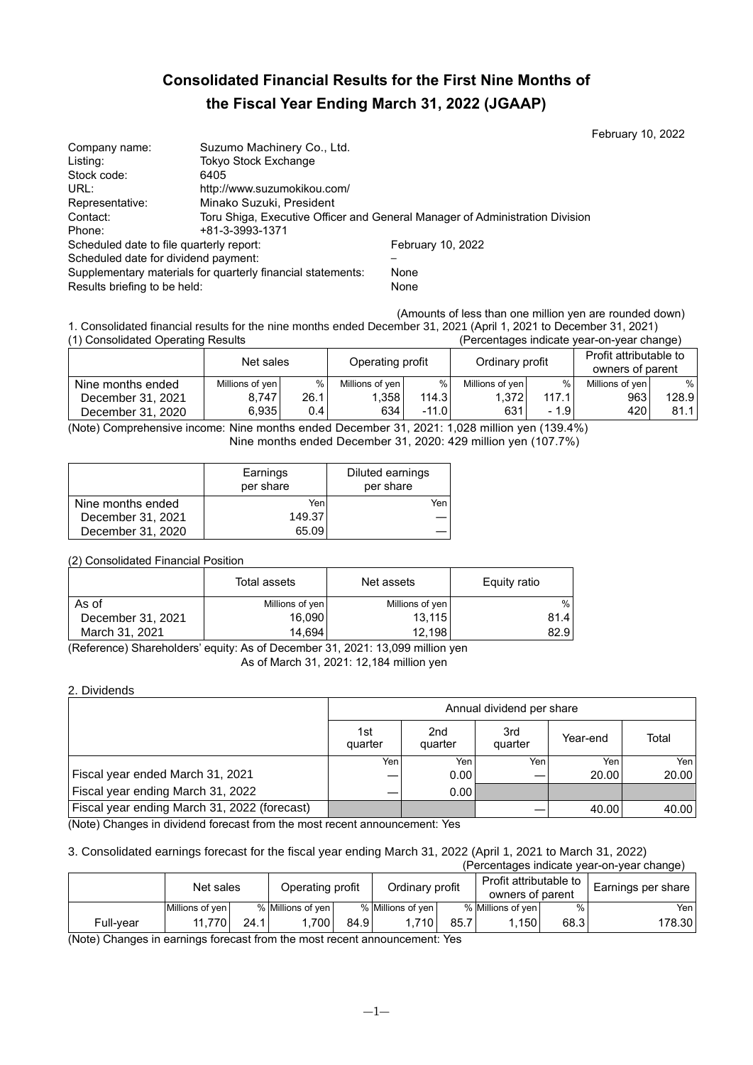# **Consolidated Financial Results for the First Nine Months of the Fiscal Year Ending March 31, 2022 (JGAAP)**

February 10, 2022

| Company name:                                               | Suzumo Machinery Co., Ltd.  |                                                                              |
|-------------------------------------------------------------|-----------------------------|------------------------------------------------------------------------------|
| Listing:                                                    | Tokyo Stock Exchange        |                                                                              |
| Stock code:                                                 | 6405                        |                                                                              |
| URL:                                                        | http://www.suzumokikou.com/ |                                                                              |
| Representative:                                             | Minako Suzuki, President    |                                                                              |
| Contact:                                                    |                             | Toru Shiga, Executive Officer and General Manager of Administration Division |
| Phone:                                                      | +81-3-3993-1371             |                                                                              |
| Scheduled date to file quarterly report:                    |                             | February 10, 2022                                                            |
| Scheduled date for dividend payment:                        |                             |                                                                              |
| Supplementary materials for quarterly financial statements: |                             | None                                                                         |
| Results briefing to be held:                                |                             | None                                                                         |

(Amounts of less than one million yen are rounded down)

1. Consolidated financial results for the nine months ended December 31, 2021 (April 1, 2021 to December 31, 2021) (Percentages indicate year-on-year change)

|                   | Net sales       |       | Operating profit |         |                 |        | Ordinary profit |       | Profit attributable to<br>owners of parent |  |
|-------------------|-----------------|-------|------------------|---------|-----------------|--------|-----------------|-------|--------------------------------------------|--|
| Nine months ended | Millions of yen | %     | Millions of yen  | $\%$    | Millions of yen | %      | Millions of ven | %     |                                            |  |
| December 31, 2021 | 8.747           | 26.1  | 1,358            | 114.3   | 1.372           | 117.1  | 9631            | 128.9 |                                            |  |
| December 31, 2020 | 6.935           | 0.4 I | 634              | $-11.0$ | 631             | $-1.9$ | 420             | 81.1  |                                            |  |

(Note) Comprehensive income: Nine months ended December 31, 2021: 1,028 million yen (139.4%) Nine months ended December 31, 2020: 429 million yen (107.7%)

|                   | Earnings<br>per share | Diluted earnings<br>per share |
|-------------------|-----------------------|-------------------------------|
| Nine months ended | Yen                   | Yen                           |
| December 31, 2021 | 149.37                |                               |
| December 31, 2020 | 65.09                 |                               |

# (2) Consolidated Financial Position

|                   | Total assets    | Net assets      | Equity ratio |
|-------------------|-----------------|-----------------|--------------|
| As of             | Millions of yen | Millions of yen | $\%$         |
| December 31, 2021 | 16,090          | 13,115          | 81.4         |
| March 31, 2021    | 14.694          | 12.198          | 82.91        |

(Reference) Shareholders' equity: As of December 31, 2021: 13,099 million yen As of March 31, 2021: 12,184 million yen

2. Dividends

| Annual dividend per share |                            |                 |          |       |  |  |
|---------------------------|----------------------------|-----------------|----------|-------|--|--|
| 1st<br>quarter            | 2 <sub>nd</sub><br>quarter | 3rd<br>quarter  | Year-end | Total |  |  |
| Yen                       | Yen                        | Yen             | Yen      | Yen   |  |  |
|                           | 0.00                       |                 | 20.00    | 20.00 |  |  |
|                           | 0.00                       |                 |          |       |  |  |
|                           |                            |                 | 40.00    | 40.00 |  |  |
|                           |                            | $\cdot$ $\cdot$ |          |       |  |  |

(Note) Changes in dividend forecast from the most recent announcement: Yes

#### 3. Consolidated earnings forecast for the fiscal year ending March 31, 2022 (April 1, 2021 to March 31, 2022) (Percentages indicate year-on-year change)

|           | r crechtages indicate year-ori-year change j |      |                   |      |                   |      |                        |      |                    |  |  |
|-----------|----------------------------------------------|------|-------------------|------|-------------------|------|------------------------|------|--------------------|--|--|
|           | Net sales                                    |      | Operating profit  |      | Ordinary profit   |      | Profit attributable to |      | Earnings per share |  |  |
|           |                                              |      |                   |      |                   |      |                        |      | owners of parent   |  |  |
|           | Millions of ven                              |      | % Millions of ven |      | % Millions of yen |      | % Millions of yen      |      | Yen l              |  |  |
| Full-vear | 11.770                                       | 24.1 | 700               | 84.9 | .710              | 85.7 | 1.150                  | 68.3 | 178.301            |  |  |

(Note) Changes in earnings forecast from the most recent announcement: Yes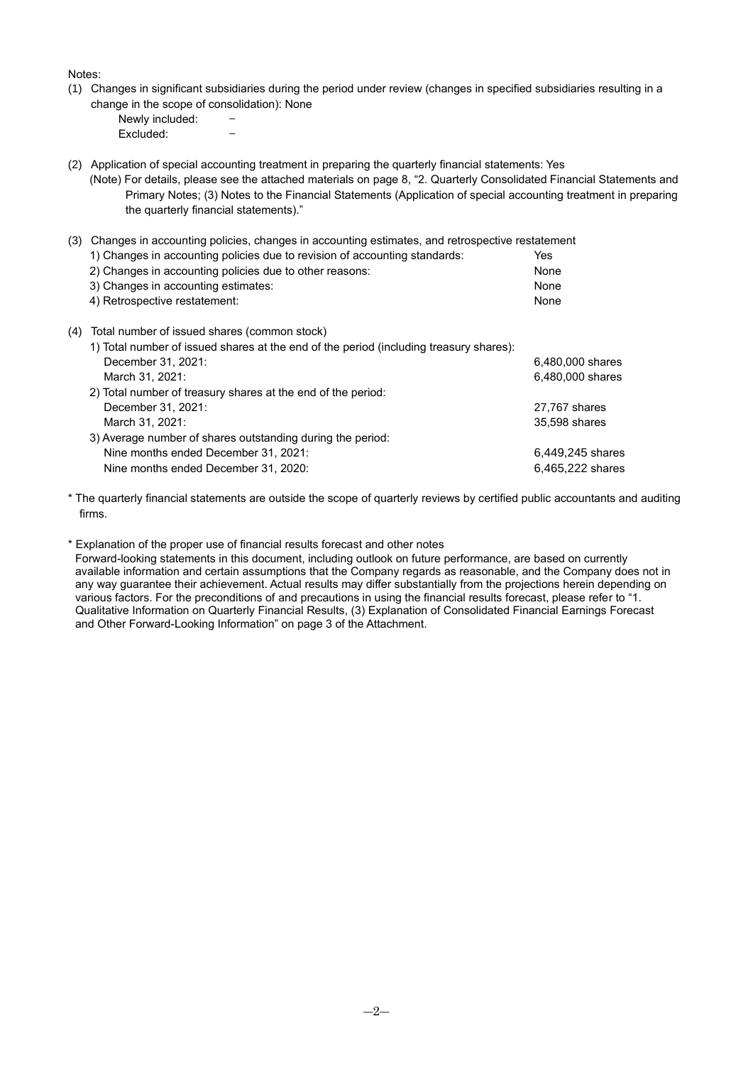Notes:

- (1) Changes in significant subsidiaries during the period under review (changes in specified subsidiaries resulting in a change in the scope of consolidation): None
	- Newly included: -<br>Excluded: -Excluded:
- (2) Application of special accounting treatment in preparing the quarterly financial statements: Yes
	- (Note) For details, please see the attached materials on page 8, "2. Quarterly Consolidated Financial Statements and Primary Notes; (3) Notes to the Financial Statements (Application of special accounting treatment in preparing the quarterly financial statements)."

| (3) | Changes in accounting policies, changes in accounting estimates, and retrospective restatement |                  |
|-----|------------------------------------------------------------------------------------------------|------------------|
|     | 1) Changes in accounting policies due to revision of accounting standards:                     | Yes              |
|     | 2) Changes in accounting policies due to other reasons:                                        | None             |
|     | 3) Changes in accounting estimates:                                                            | None             |
|     | 4) Retrospective restatement:                                                                  | None             |
| (4) | Total number of issued shares (common stock)                                                   |                  |
|     | 1) Total number of issued shares at the end of the period (including treasury shares):         |                  |
|     | December 31, 2021:                                                                             | 6.480.000 shares |
|     | March 31, 2021:                                                                                | 6,480,000 shares |
|     | 2) Total number of treasury shares at the end of the period:                                   |                  |
|     | December 31, 2021:                                                                             | 27,767 shares    |
|     | March 31, 2021:                                                                                | 35,598 shares    |
|     | 3) Average number of shares outstanding during the period:                                     |                  |
|     | Nine months ended December 31, 2021:                                                           | 6,449,245 shares |
|     | Nine months ended December 31, 2020:                                                           | 6,465,222 shares |

\* The quarterly financial statements are outside the scope of quarterly reviews by certified public accountants and auditing firms.

\* Explanation of the proper use of financial results forecast and other notes

Forward-looking statements in this document, including outlook on future performance, are based on currently available information and certain assumptions that the Company regards as reasonable, and the Company does not in any way guarantee their achievement. Actual results may differ substantially from the projections herein depending on various factors. For the preconditions of and precautions in using the financial results forecast, please refer to "1. Qualitative Information on Quarterly Financial Results, (3) Explanation of Consolidated Financial Earnings Forecast and Other Forward-Looking Information" on page 3 of the Attachment.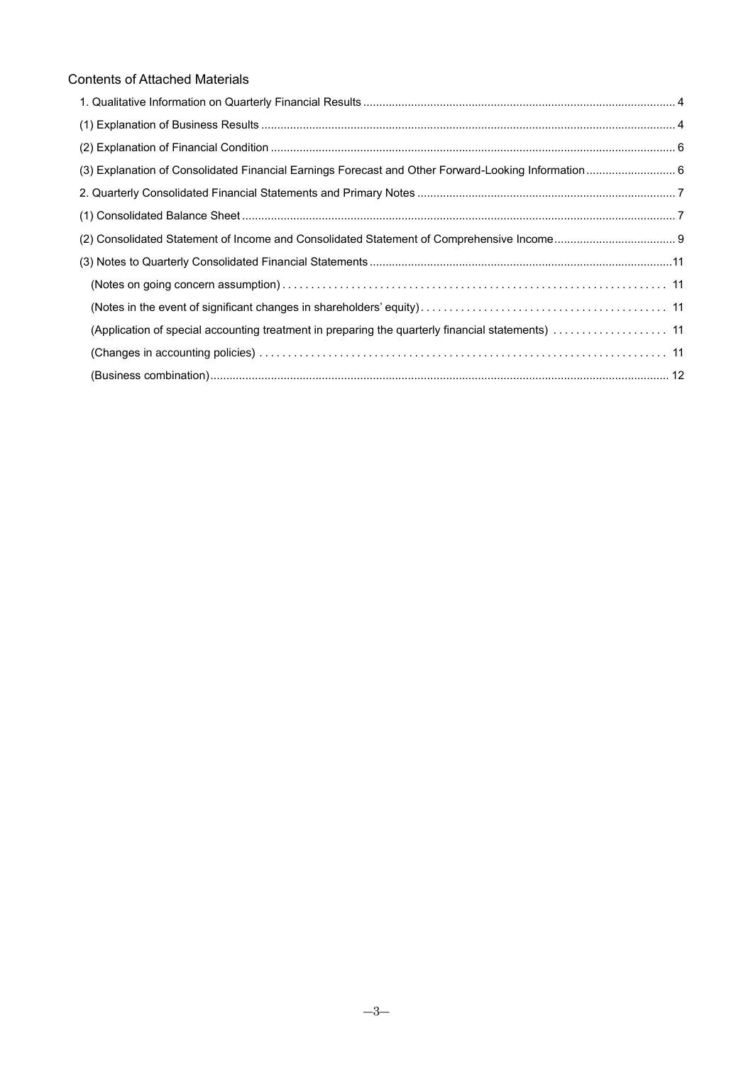# Contents of Attached Materials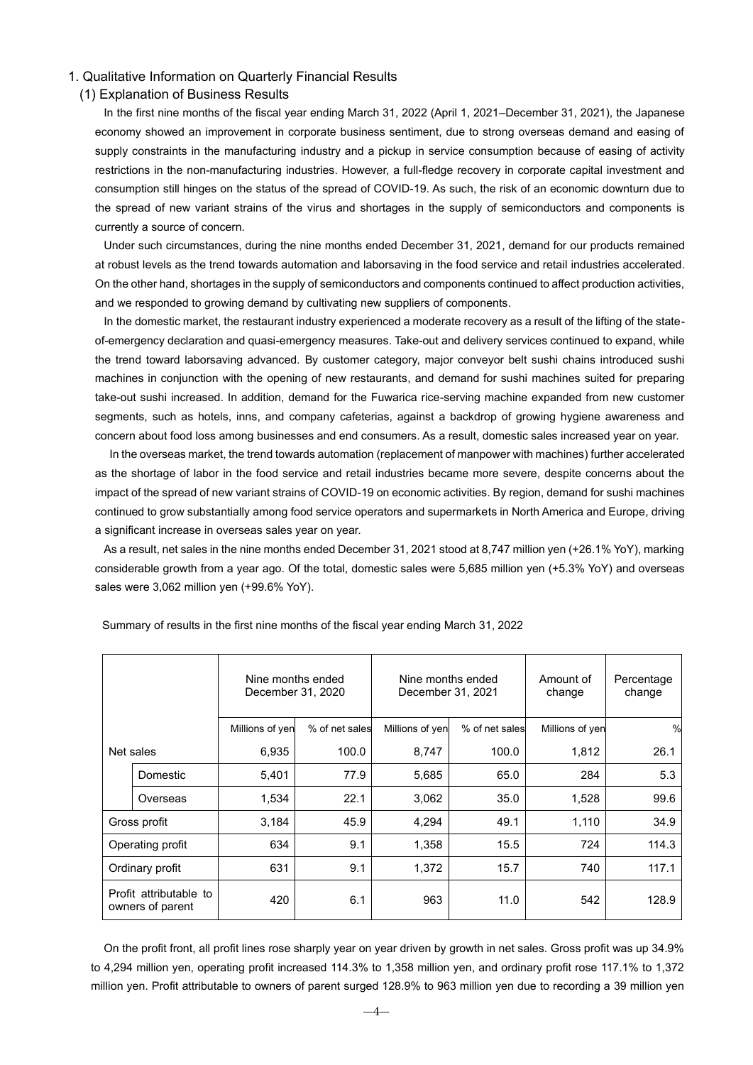### <span id="page-3-0"></span>1. Qualitative Information on Quarterly Financial Results

### <span id="page-3-1"></span>(1) Explanation of Business Results

In the first nine months of the fiscal year ending March 31, 2022 (April 1, 2021–December 31, 2021), the Japanese economy showed an improvement in corporate business sentiment, due to strong overseas demand and easing of supply constraints in the manufacturing industry and a pickup in service consumption because of easing of activity restrictions in the non-manufacturing industries. However, a full-fledge recovery in corporate capital investment and consumption still hinges on the status of the spread of COVID-19. As such, the risk of an economic downturn due to the spread of new variant strains of the virus and shortages in the supply of semiconductors and components is currently a source of concern.

Under such circumstances, during the nine months ended December 31, 2021, demand for our products remained at robust levels as the trend towards automation and laborsaving in the food service and retail industries accelerated. On the other hand, shortages in the supply of semiconductors and components continued to affect production activities, and we responded to growing demand by cultivating new suppliers of components.

In the domestic market, the restaurant industry experienced a moderate recovery as a result of the lifting of the stateof-emergency declaration and quasi-emergency measures. Take-out and delivery services continued to expand, while the trend toward laborsaving advanced. By customer category, major conveyor belt sushi chains introduced sushi machines in conjunction with the opening of new restaurants, and demand for sushi machines suited for preparing take-out sushi increased. In addition, demand for the Fuwarica rice-serving machine expanded from new customer segments, such as hotels, inns, and company cafeterias, against a backdrop of growing hygiene awareness and concern about food loss among businesses and end consumers. As a result, domestic sales increased year on year.

In the overseas market, the trend towards automation (replacement of manpower with machines) further accelerated as the shortage of labor in the food service and retail industries became more severe, despite concerns about the impact of the spread of new variant strains of COVID-19 on economic activities. By region, demand for sushi machines continued to grow substantially among food service operators and supermarkets in North America and Europe, driving a significant increase in overseas sales year on year.

As a result, net sales in the nine months ended December 31, 2021 stood at 8,747 million yen (+26.1% YoY), marking considerable growth from a year ago. Of the total, domestic sales were 5,685 million yen (+5.3% YoY) and overseas sales were 3,062 million yen (+99.6% YoY).

|                                            |                  | Nine months ended<br>December 31, 2020 |                | Nine months ended<br>December 31, 2021 |                | Amount of<br>change | Percentage<br>change |
|--------------------------------------------|------------------|----------------------------------------|----------------|----------------------------------------|----------------|---------------------|----------------------|
|                                            |                  | Millions of yen                        | % of net sales | Millions of yen                        | % of net sales | Millions of yen     | $\frac{0}{0}$        |
| Net sales                                  |                  | 6,935                                  | 100.0          | 8,747                                  | 100.0          | 1,812               | 26.1                 |
|                                            | Domestic         | 5,401                                  | 77.9           | 5,685                                  | 65.0           | 284                 | 5.3                  |
|                                            | Overseas         | 1,534                                  | 22.1           | 3,062                                  | 35.0           | 1,528               | 99.6                 |
| Gross profit                               |                  | 3,184                                  | 45.9           | 4,294                                  | 49.1           | 1,110               | 34.9                 |
|                                            | Operating profit | 634                                    | 9.1            | 1,358                                  | 15.5           | 724                 | 114.3                |
| Ordinary profit                            |                  | 631                                    | 9.1            | 1,372                                  | 15.7           | 740                 | 117.1                |
| Profit attributable to<br>owners of parent |                  | 420                                    | 6.1            | 963                                    | 11.0           | 542                 | 128.9                |

Summary of results in the first nine months of the fiscal year ending March 31, 2022

On the profit front, all profit lines rose sharply year on year driven by growth in net sales. Gross profit was up 34.9% to 4,294 million yen, operating profit increased 114.3% to 1,358 million yen, and ordinary profit rose 117.1% to 1,372 million yen. Profit attributable to owners of parent surged 128.9% to 963 million yen due to recording a 39 million yen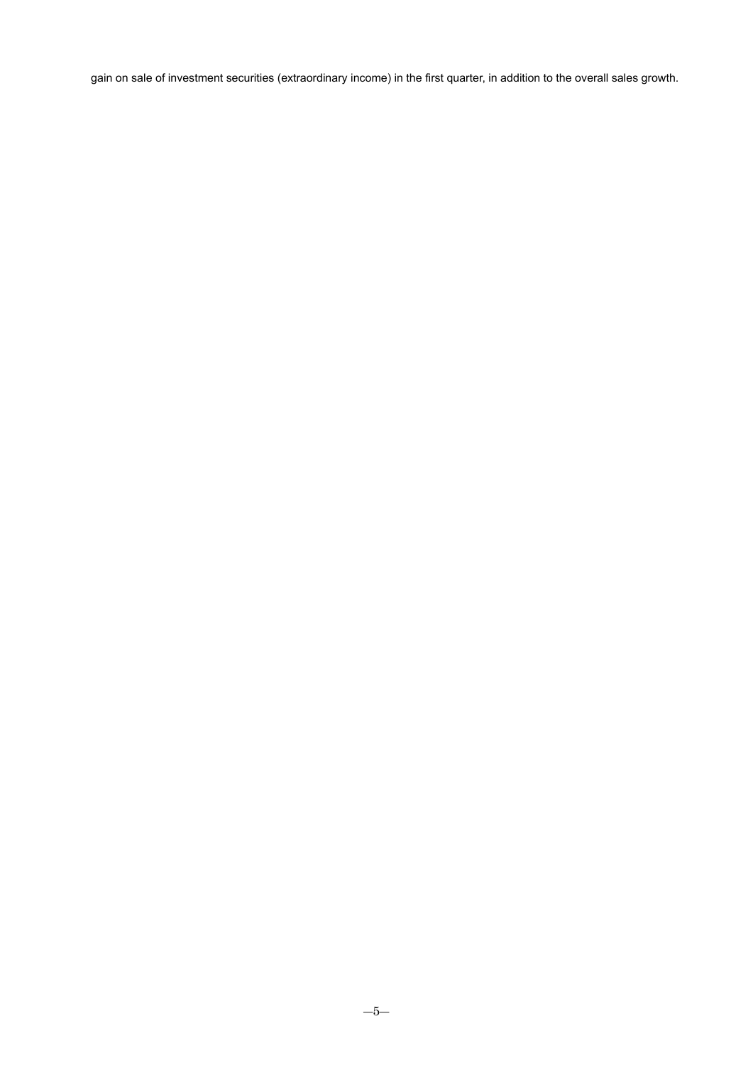gain on sale of investment securities (extraordinary income) in the first quarter, in addition to the overall sales growth.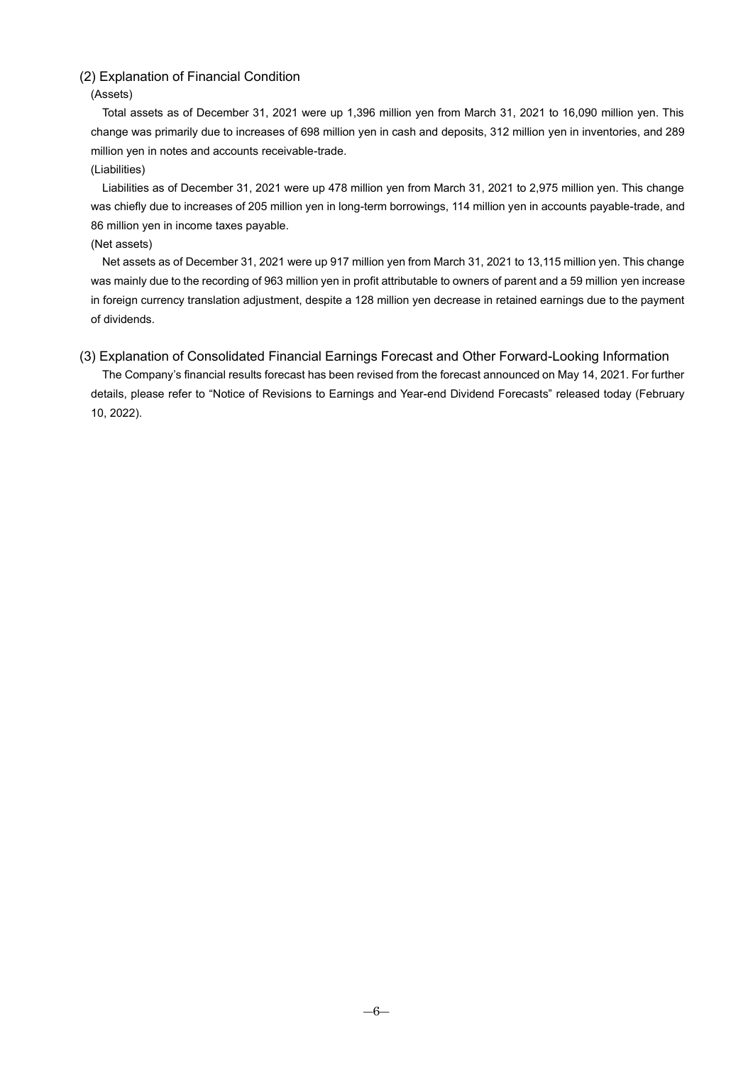# <span id="page-5-0"></span>(2) Explanation of Financial Condition

(Assets)

Total assets as of December 31, 2021 were up 1,396 million yen from March 31, 2021 to 16,090 million yen. This change was primarily due to increases of 698 million yen in cash and deposits, 312 million yen in inventories, and 289 million yen in notes and accounts receivable-trade.

### (Liabilities)

Liabilities as of December 31, 2021 were up 478 million yen from March 31, 2021 to 2,975 million yen. This change was chiefly due to increases of 205 million yen in long-term borrowings, 114 million yen in accounts payable-trade, and 86 million yen in income taxes payable.

### (Net assets)

Net assets as of December 31, 2021 were up 917 million yen from March 31, 2021 to 13,115 million yen. This change was mainly due to the recording of 963 million yen in profit attributable to owners of parent and a 59 million yen increase in foreign currency translation adjustment, despite a 128 million yen decrease in retained earnings due to the payment of dividends.

<span id="page-5-1"></span>(3) Explanation of Consolidated Financial Earnings Forecast and Other Forward-Looking Information The Company's financial results forecast has been revised from the forecast announced on May 14, 2021. For further details, please refer to "Notice of Revisions to Earnings and Year-end Dividend Forecasts" released today (February 10, 2022).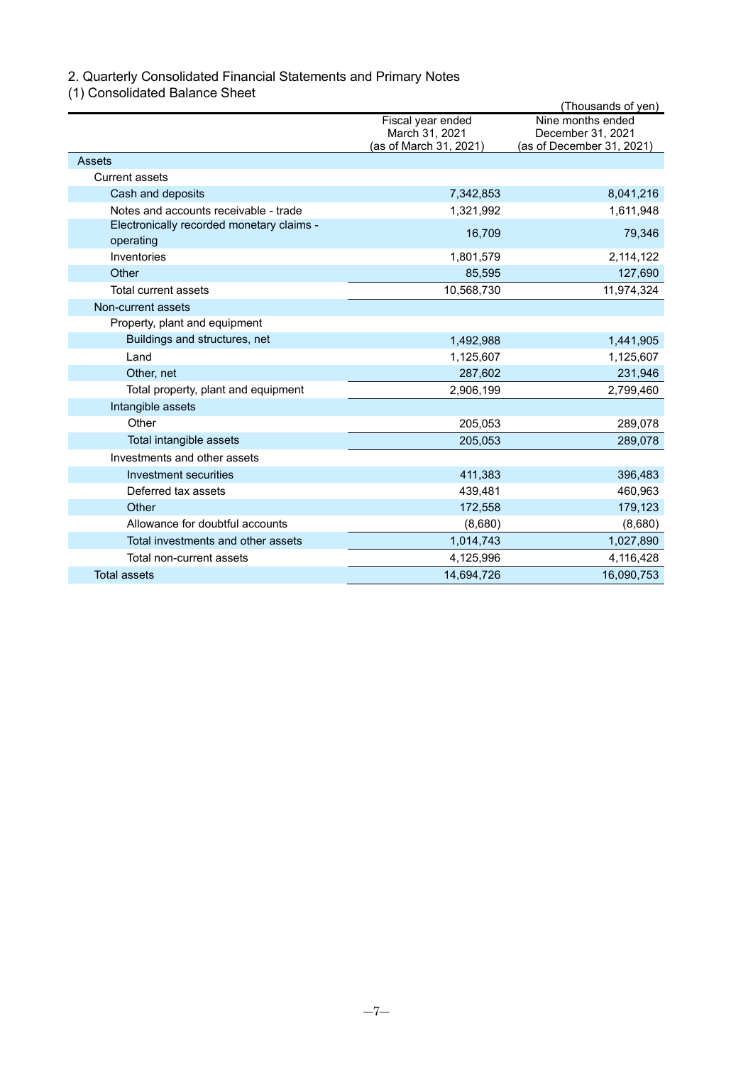# <span id="page-6-0"></span>2. Quarterly Consolidated Financial Statements and Primary Notes

<span id="page-6-1"></span>(1) Consolidated Balance Sheet

|                                           |                        | (Thousands of yen)        |
|-------------------------------------------|------------------------|---------------------------|
|                                           | Fiscal year ended      | Nine months ended         |
|                                           | March 31, 2021         | December 31, 2021         |
| Assets                                    | (as of March 31, 2021) | (as of December 31, 2021) |
|                                           |                        |                           |
| <b>Current assets</b>                     |                        |                           |
| Cash and deposits                         | 7,342,853              | 8,041,216                 |
| Notes and accounts receivable - trade     | 1,321,992              | 1,611,948                 |
| Electronically recorded monetary claims - | 16,709                 | 79,346                    |
| operating                                 |                        |                           |
| Inventories                               | 1,801,579              | 2,114,122                 |
| Other                                     | 85,595                 | 127,690                   |
| Total current assets                      | 10,568,730             | 11,974,324                |
| Non-current assets                        |                        |                           |
| Property, plant and equipment             |                        |                           |
| Buildings and structures, net             | 1,492,988              | 1,441,905                 |
| Land                                      | 1,125,607              | 1,125,607                 |
| Other, net                                | 287,602                | 231,946                   |
| Total property, plant and equipment       | 2,906,199              | 2,799,460                 |
| Intangible assets                         |                        |                           |
| Other                                     | 205,053                | 289,078                   |
| Total intangible assets                   | 205,053                | 289,078                   |
| Investments and other assets              |                        |                           |
| Investment securities                     | 411,383                | 396,483                   |
| Deferred tax assets                       | 439,481                | 460,963                   |
| Other                                     | 172,558                | 179,123                   |
| Allowance for doubtful accounts           | (8,680)                | (8,680)                   |
| Total investments and other assets        | 1,014,743              | 1,027,890                 |
| Total non-current assets                  | 4,125,996              | 4,116,428                 |
| <b>Total assets</b>                       | 14,694,726             | 16,090,753                |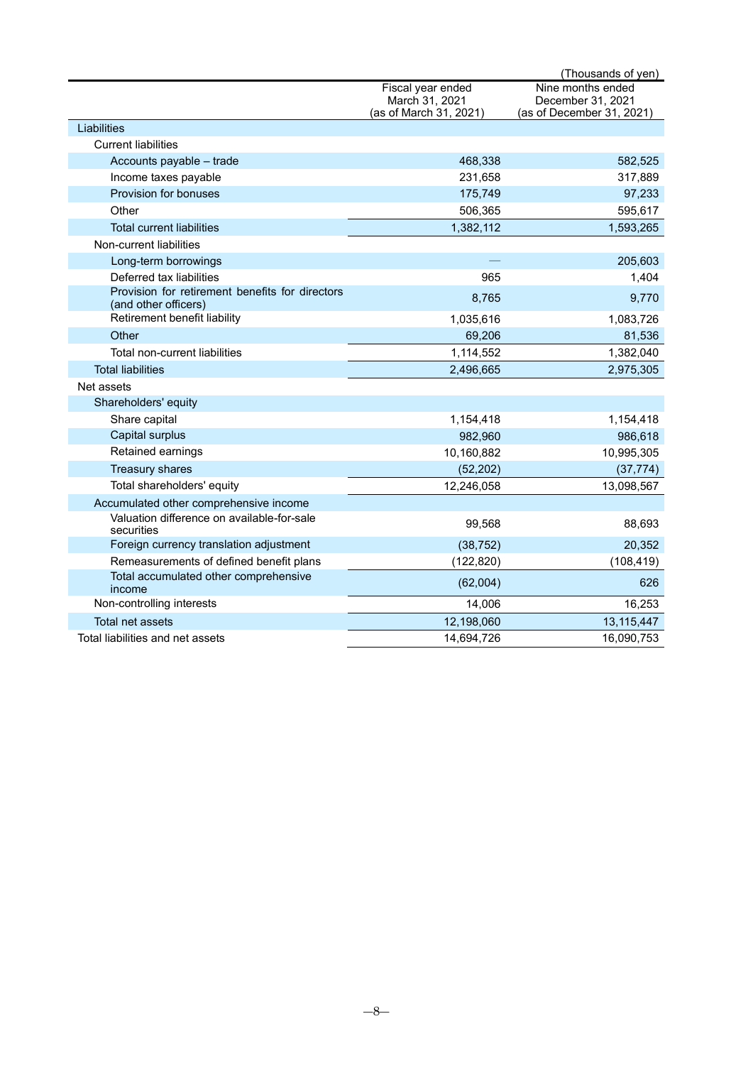|                                                                         |                        | (Thousands of yen)        |
|-------------------------------------------------------------------------|------------------------|---------------------------|
|                                                                         | Fiscal year ended      | Nine months ended         |
|                                                                         | March 31, 2021         | December 31, 2021         |
|                                                                         | (as of March 31, 2021) | (as of December 31, 2021) |
| Liabilities                                                             |                        |                           |
| <b>Current liabilities</b>                                              |                        |                           |
| Accounts payable - trade                                                | 468,338                | 582,525                   |
| Income taxes payable                                                    | 231,658                | 317,889                   |
| Provision for bonuses                                                   | 175,749                | 97,233                    |
| Other                                                                   | 506,365                | 595,617                   |
| <b>Total current liabilities</b>                                        | 1,382,112              | 1,593,265                 |
| Non-current liabilities                                                 |                        |                           |
| Long-term borrowings                                                    |                        | 205,603                   |
| Deferred tax liabilities                                                | 965                    | 1,404                     |
| Provision for retirement benefits for directors<br>(and other officers) | 8,765                  | 9,770                     |
| Retirement benefit liability                                            | 1,035,616              | 1,083,726                 |
| Other                                                                   | 69,206                 | 81,536                    |
| Total non-current liabilities                                           | 1,114,552              | 1,382,040                 |
| <b>Total liabilities</b>                                                | 2,496,665              | 2,975,305                 |
| Net assets                                                              |                        |                           |
| Shareholders' equity                                                    |                        |                           |
| Share capital                                                           | 1,154,418              | 1,154,418                 |
| Capital surplus                                                         | 982,960                | 986,618                   |
| Retained earnings                                                       | 10,160,882             | 10,995,305                |
| <b>Treasury shares</b>                                                  | (52, 202)              | (37, 774)                 |
| Total shareholders' equity                                              | 12,246,058             | 13,098,567                |
| Accumulated other comprehensive income                                  |                        |                           |
| Valuation difference on available-for-sale<br>securities                | 99,568                 | 88,693                    |
| Foreign currency translation adjustment                                 | (38, 752)              | 20,352                    |
| Remeasurements of defined benefit plans                                 | (122, 820)             | (108, 419)                |
| Total accumulated other comprehensive<br>income                         | (62,004)               | 626                       |
| Non-controlling interests                                               | 14,006                 | 16,253                    |
| <b>Total net assets</b>                                                 | 12,198,060             | 13,115,447                |
| Total liabilities and net assets                                        | 14,694,726             | 16,090,753                |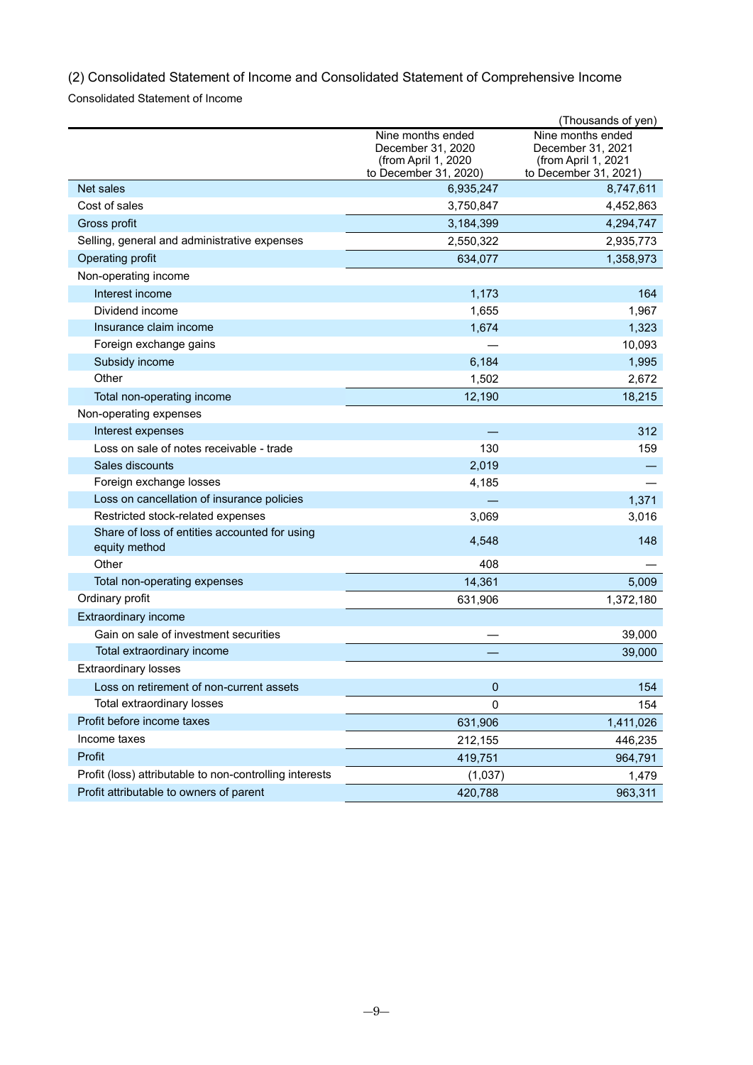<span id="page-8-0"></span>(2) Consolidated Statement of Income and Consolidated Statement of Comprehensive Income

Consolidated Statement of Income

|                                                                |                                                                                        | (Thousands of yen)                                                                     |
|----------------------------------------------------------------|----------------------------------------------------------------------------------------|----------------------------------------------------------------------------------------|
|                                                                | Nine months ended<br>December 31, 2020<br>(from April 1, 2020<br>to December 31, 2020) | Nine months ended<br>December 31, 2021<br>(from April 1, 2021<br>to December 31, 2021) |
| Net sales                                                      | 6,935,247                                                                              | 8,747,611                                                                              |
| Cost of sales                                                  | 3,750,847                                                                              | 4,452,863                                                                              |
| Gross profit                                                   | 3,184,399                                                                              | 4,294,747                                                                              |
| Selling, general and administrative expenses                   | 2,550,322                                                                              | 2,935,773                                                                              |
| Operating profit                                               | 634,077                                                                                | 1,358,973                                                                              |
| Non-operating income                                           |                                                                                        |                                                                                        |
| Interest income                                                | 1,173                                                                                  | 164                                                                                    |
| Dividend income                                                | 1,655                                                                                  | 1,967                                                                                  |
| Insurance claim income                                         | 1,674                                                                                  | 1,323                                                                                  |
| Foreign exchange gains                                         |                                                                                        | 10,093                                                                                 |
| Subsidy income                                                 | 6,184                                                                                  | 1,995                                                                                  |
| Other                                                          | 1,502                                                                                  | 2,672                                                                                  |
| Total non-operating income                                     | 12,190                                                                                 | 18,215                                                                                 |
| Non-operating expenses                                         |                                                                                        |                                                                                        |
| Interest expenses                                              |                                                                                        | 312                                                                                    |
| Loss on sale of notes receivable - trade                       | 130                                                                                    | 159                                                                                    |
| Sales discounts                                                | 2,019                                                                                  |                                                                                        |
| Foreign exchange losses                                        | 4,185                                                                                  |                                                                                        |
| Loss on cancellation of insurance policies                     |                                                                                        | 1,371                                                                                  |
| Restricted stock-related expenses                              | 3,069                                                                                  | 3,016                                                                                  |
| Share of loss of entities accounted for using<br>equity method | 4,548                                                                                  | 148                                                                                    |
| Other                                                          | 408                                                                                    |                                                                                        |
| Total non-operating expenses                                   | 14,361                                                                                 | 5,009                                                                                  |
| Ordinary profit                                                | 631,906                                                                                | 1,372,180                                                                              |
| Extraordinary income                                           |                                                                                        |                                                                                        |
| Gain on sale of investment securities                          |                                                                                        | 39,000                                                                                 |
| Total extraordinary income                                     |                                                                                        | 39,000                                                                                 |
| <b>Extraordinary losses</b>                                    |                                                                                        |                                                                                        |
| Loss on retirement of non-current assets                       | 0                                                                                      | 154                                                                                    |
| Total extraordinary losses                                     | 0                                                                                      | 154                                                                                    |
| Profit before income taxes                                     | 631,906                                                                                | 1,411,026                                                                              |
| Income taxes                                                   | 212,155                                                                                | 446,235                                                                                |
| Profit                                                         | 419,751                                                                                | 964,791                                                                                |
| Profit (loss) attributable to non-controlling interests        | (1,037)                                                                                | 1,479                                                                                  |
| Profit attributable to owners of parent                        | 420,788                                                                                | 963,311                                                                                |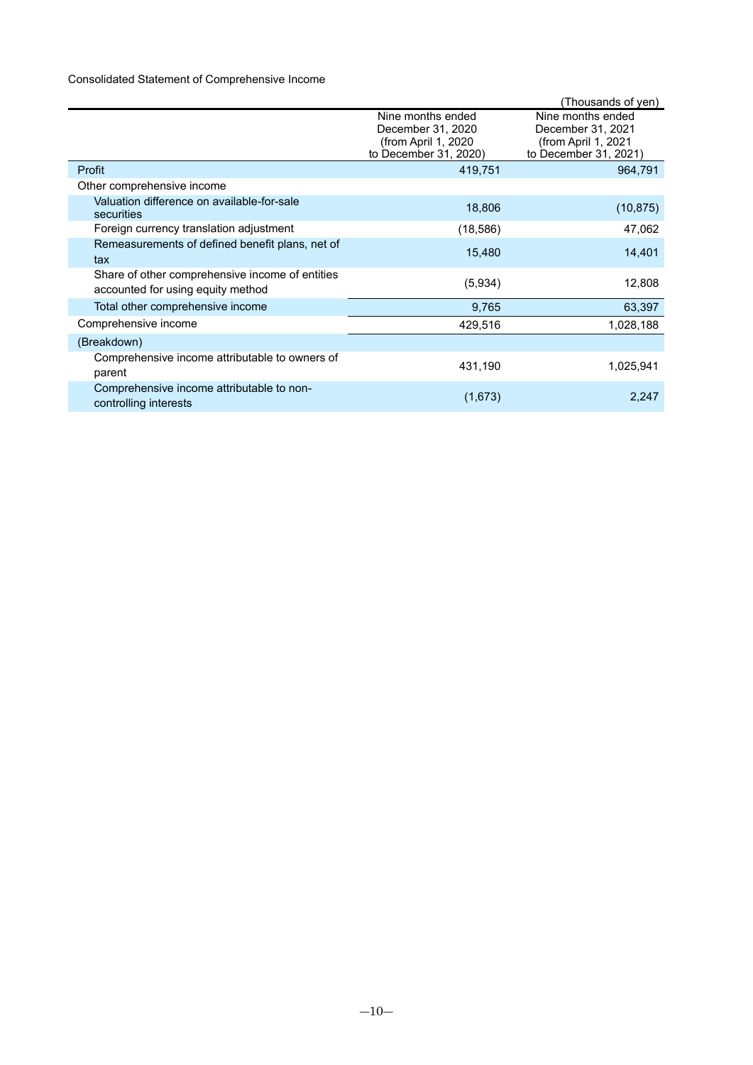# Consolidated Statement of Comprehensive Income

|                                                                                      |                                                                                        | (Thousands of yen)                                                                     |
|--------------------------------------------------------------------------------------|----------------------------------------------------------------------------------------|----------------------------------------------------------------------------------------|
|                                                                                      | Nine months ended<br>December 31, 2020<br>(from April 1, 2020<br>to December 31, 2020) | Nine months ended<br>December 31, 2021<br>(from April 1, 2021<br>to December 31, 2021) |
| Profit                                                                               | 419,751                                                                                | 964,791                                                                                |
| Other comprehensive income                                                           |                                                                                        |                                                                                        |
| Valuation difference on available-for-sale<br>securities                             | 18,806                                                                                 | (10, 875)                                                                              |
| Foreign currency translation adjustment                                              | (18, 586)                                                                              | 47,062                                                                                 |
| Remeasurements of defined benefit plans, net of<br>tax                               | 15,480                                                                                 | 14,401                                                                                 |
| Share of other comprehensive income of entities<br>accounted for using equity method | (5,934)                                                                                | 12,808                                                                                 |
| Total other comprehensive income                                                     | 9,765                                                                                  | 63,397                                                                                 |
| Comprehensive income                                                                 | 429,516                                                                                | 1,028,188                                                                              |
| (Breakdown)                                                                          |                                                                                        |                                                                                        |
| Comprehensive income attributable to owners of<br>parent                             | 431,190                                                                                | 1,025,941                                                                              |
| Comprehensive income attributable to non-<br>controlling interests                   | (1,673)                                                                                | 2,247                                                                                  |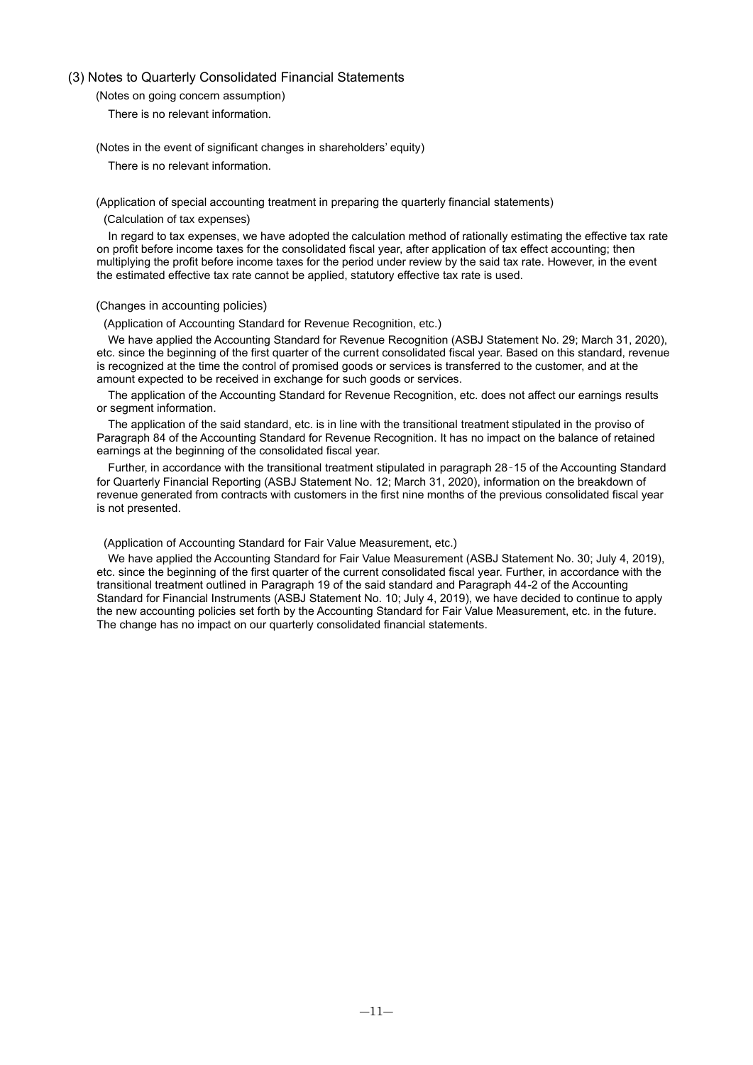### <span id="page-10-1"></span><span id="page-10-0"></span>(3) Notes to Quarterly Consolidated Financial Statements

(Notes on going concern assumption)

There is no relevant information.

<span id="page-10-2"></span>(Notes in the event of significant changes in shareholders' equity)

There is no relevant information.

<span id="page-10-3"></span>(Application of special accounting treatment in preparing the quarterly financial statements)

(Calculation of tax expenses)

In regard to tax expenses, we have adopted the calculation method of rationally estimating the effective tax rate on profit before income taxes for the consolidated fiscal year, after application of tax effect accounting; then multiplying the profit before income taxes for the period under review by the said tax rate. However, in the event the estimated effective tax rate cannot be applied, statutory effective tax rate is used.

### <span id="page-10-4"></span>(Changes in accounting policies)

(Application of Accounting Standard for Revenue Recognition, etc.)

We have applied the Accounting Standard for Revenue Recognition (ASBJ Statement No. 29; March 31, 2020), etc. since the beginning of the first quarter of the current consolidated fiscal year. Based on this standard, revenue is recognized at the time the control of promised goods or services is transferred to the customer, and at the amount expected to be received in exchange for such goods or services.

The application of the Accounting Standard for Revenue Recognition, etc. does not affect our earnings results or segment information.

The application of the said standard, etc. is in line with the transitional treatment stipulated in the proviso of Paragraph 84 of the Accounting Standard for Revenue Recognition. It has no impact on the balance of retained earnings at the beginning of the consolidated fiscal year.

Further, in accordance with the transitional treatment stipulated in paragraph 28–15 of the Accounting Standard for Quarterly Financial Reporting (ASBJ Statement No. 12; March 31, 2020), information on the breakdown of revenue generated from contracts with customers in the first nine months of the previous consolidated fiscal year is not presented.

### (Application of Accounting Standard for Fair Value Measurement, etc.)

We have applied the Accounting Standard for Fair Value Measurement (ASBJ Statement No. 30; July 4, 2019), etc. since the beginning of the first quarter of the current consolidated fiscal year. Further, in accordance with the transitional treatment outlined in Paragraph 19 of the said standard and Paragraph 44-2 of the Accounting Standard for Financial Instruments (ASBJ Statement No. 10; July 4, 2019), we have decided to continue to apply the new accounting policies set forth by the Accounting Standard for Fair Value Measurement, etc. in the future. The change has no impact on our quarterly consolidated financial statements.